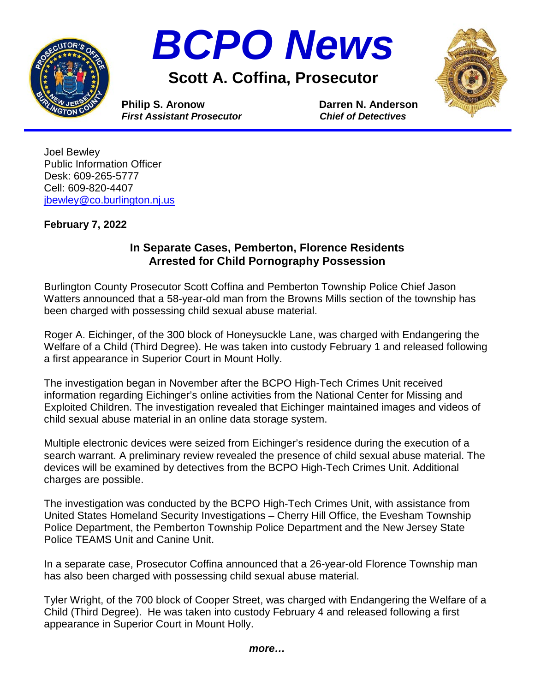



**Scott A. Coffina, Prosecutor**



**Philip S. Aronow Darren N. Anderson**<br> *First Assistant Prosecutor* Chief of Detectives *First Assistant Prosecutor* 

Joel Bewley Public Information Officer Desk: 609-265-5777 Cell: 609-820-4407 [jbewley@co.burlington.nj.us](mailto:jbewley@co.burlington.nj.us)

## **February 7, 2022**

## **In Separate Cases, Pemberton, Florence Residents Arrested for Child Pornography Possession**

Burlington County Prosecutor Scott Coffina and Pemberton Township Police Chief Jason Watters announced that a 58-year-old man from the Browns Mills section of the township has been charged with possessing child sexual abuse material.

Roger A. Eichinger, of the 300 block of Honeysuckle Lane, was charged with Endangering the Welfare of a Child (Third Degree). He was taken into custody February 1 and released following a first appearance in Superior Court in Mount Holly.

The investigation began in November after the BCPO High-Tech Crimes Unit received information regarding Eichinger's online activities from the National Center for Missing and Exploited Children. The investigation revealed that Eichinger maintained images and videos of child sexual abuse material in an online data storage system.

Multiple electronic devices were seized from Eichinger's residence during the execution of a search warrant. A preliminary review revealed the presence of child sexual abuse material. The devices will be examined by detectives from the BCPO High-Tech Crimes Unit. Additional charges are possible.

The investigation was conducted by the BCPO High-Tech Crimes Unit, with assistance from United States Homeland Security Investigations – Cherry Hill Office, the Evesham Township Police Department, the Pemberton Township Police Department and the New Jersey State Police TEAMS Unit and Canine Unit.

In a separate case, Prosecutor Coffina announced that a 26-year-old Florence Township man has also been charged with possessing child sexual abuse material.

Tyler Wright, of the 700 block of Cooper Street, was charged with Endangering the Welfare of a Child (Third Degree). He was taken into custody February 4 and released following a first appearance in Superior Court in Mount Holly.